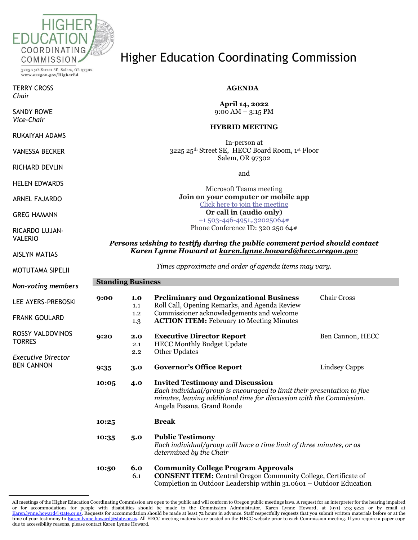

3225 25th Street SE, Salem, OR 97302 www.oregon.gov/HigherEd

TERRY CROSS *Chair*

SANDY ROWE *Vice-Chair*

RUKAIYAH ADAMS

VANESSA BECKER

RICHARD DEVLIN

HELEN EDWARDS

ARNEL FAJARDO

GREG HAMANN

RICARDO LUJAN-VALERIO

AISLYN MATIAS

MOTUTAMA SIPELII

*Non-voting members*

LEE AYERS-PREBOSKI

FRANK GOULARD

ROSSY VALDOVINOS **TORRES** 

*Executive Director* BEN CANNON

### Higher Education Coordinating Commission

### **AGENDA**

**April 14, 2022** 9:00 AM – 3:15 PM

#### **HYBRID MEETING**

In-person at 3225 25th Street SE, HECC Board Room, 1st Floor Salem, OR 97302

and

Microsoft Teams meeting **Join on your computer or mobile app** [Click here to join the meeting](https://teams.microsoft.com/l/meetup-join/19%3ameeting_NzIzYTI1OWYtODdiOS00NjJmLWJjMjktY2VmODkzMzhiNGQ4%40thread.v2/0?context=%7b%22Tid%22%3a%22aa3f6932-fa7c-47b4-a0ce-a598cad161cf%22%2c%22Oid%22%3a%22e27751c5-b346-4737-8018-c8527a67292f%22%7d) **Or call in (audio only)** [+1 503-446-4951,,32025064#](tel:+15034464951,,32025064# ) Phone Conference ID: 320 250 64#

#### *Persons wishing to testify during the public comment period should contact Karen Lynne Howard at [karen.lynne.howard@hecc.oregon.gov](mailto:karen.lynne.howard@hecc.oregon.gov)*

*Times approximate and order of agenda items may vary.*

#### **Standing Business**

| 9:00  | 1.0<br>1.1<br>1.2<br>1.3 | <b>Preliminary and Organizational Business</b><br>Roll Call, Opening Remarks, and Agenda Review<br>Commissioner acknowledgements and welcome<br><b>ACTION ITEM: February 10 Meeting Minutes</b>                          | <b>Chair Cross</b> |  |  |
|-------|--------------------------|--------------------------------------------------------------------------------------------------------------------------------------------------------------------------------------------------------------------------|--------------------|--|--|
| 9:20  | 2.0<br>2.1<br>2.2        | <b>Executive Director Report</b><br><b>HECC Monthly Budget Update</b><br>Other Updates                                                                                                                                   | Ben Cannon, HECC   |  |  |
| 9:35  | 3.0                      | <b>Governor's Office Report</b>                                                                                                                                                                                          | Lindsey Capps      |  |  |
| 10:05 | 4.0                      | <b>Invited Testimony and Discussion</b><br>Each individual/group is encouraged to limit their presentation to five<br>minutes, leaving additional time for discussion with the Commission.<br>Angela Fasana, Grand Ronde |                    |  |  |
| 10:25 |                          | <b>Break</b>                                                                                                                                                                                                             |                    |  |  |
| 10:35 | 5.0                      | <b>Public Testimony</b><br>Each individual/group will have a time limit of three minutes, or as<br>determined by the Chair                                                                                               |                    |  |  |
| 10:50 | 6.0<br>6.1               | <b>Community College Program Approvals</b><br><b>CONSENT ITEM:</b> Central Oregon Community College, Certificate of<br>Completion in Outdoor Leadership within 31.0601 – Outdoor Education                               |                    |  |  |

All meetings of the Higher Education Coordinating Commission are open to the public and will conform to Oregon public meetings laws. A request for an interpreter for the hearing impaired or for accommodations for people with disabilities should be made to the Commission Administrator, Karen Lynne Howard, at (971) 273-9222 or by email at [Karen.lynne.howard@state.or.us.](mailto:Karen.lynne.howard@state.or.us) Requests for accommodation should be made at least 72 hours in advance. Staff respectfully requests that you submit written materials before or at the time of your testimony t[o Karen.lynne.howard@state.or.us.](mailto:Karen.lynne.howard@state.or.us) All HECC meeting materials are posted on the HECC website prior to each Commission meeting. If you require a paper copy due to accessibility reasons, please contact Karen Lynne Howard.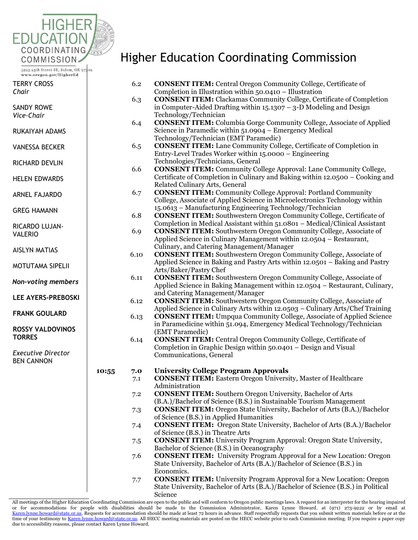

3225 25th Street SE, Salem, OR 97302 www.oregon.gov/HigherEd

TERRY CROSS *Chair*

SANDY ROWE *Vice-Chair*

RUKAIYAH ADAMS

VANESSA BECKER

RICHARD DEVLIN

HELEN EDWARDS

ARNEL FAJARDO

GREG HAMANN

RICARDO LUJAN-VALERIO

AISLYN MATIAS

MOTUTAMA SIPELII

*Non-voting members*

**LEE AYERS-PREBOSKI** 

**FRANK GOULARD** 

**ROSSY VALDOVINOS TORRES**

*Executive Director* BEN CANNON

## Higher Education Coordinating Commission

|                 | 6.2                                                                    | <b>CONSENT ITEM:</b> Central Oregon Community College, Certificate of             |  |  |  |
|-----------------|------------------------------------------------------------------------|-----------------------------------------------------------------------------------|--|--|--|
|                 |                                                                        | Completion in Illustration within 50.0410 - Illustration                          |  |  |  |
|                 | 6.3                                                                    | <b>CONSENT ITEM:</b> Clackamas Community College, Certificate of Completion       |  |  |  |
|                 |                                                                        | in Computer-Aided Drafting within $15.1307 - 3-D$ Modeling and Design             |  |  |  |
|                 |                                                                        | Technology/Technician                                                             |  |  |  |
|                 | 6.4                                                                    | <b>CONSENT ITEM:</b> Columbia Gorge Community College, Associate of Applied       |  |  |  |
|                 |                                                                        | Science in Paramedic within 51.0904 – Emergency Medical                           |  |  |  |
|                 |                                                                        | Technology/Technician (EMT Paramedic)                                             |  |  |  |
|                 | 6.5                                                                    | <b>CONSENT ITEM:</b> Lane Community College, Certificate of Completion in         |  |  |  |
|                 |                                                                        | Entry-Level Trades Worker within 15.0000 - Engineering                            |  |  |  |
|                 |                                                                        | Technologies/Technicians, General                                                 |  |  |  |
|                 | 6.6                                                                    | <b>CONSENT ITEM:</b> Community College Approval: Lane Community College,          |  |  |  |
|                 |                                                                        | Certificate of Completion in Culinary and Baking within 12.0500 – Cooking and     |  |  |  |
|                 |                                                                        | Related Culinary Arts, General                                                    |  |  |  |
|                 | 6.7                                                                    | <b>CONSENT ITEM:</b> Community College Approval: Portland Community               |  |  |  |
|                 |                                                                        | College, Associate of Applied Science in Microelectronics Technology within       |  |  |  |
|                 |                                                                        |                                                                                   |  |  |  |
|                 | 6.8                                                                    | 15.0613 - Manufacturing Engineering Technology/Technician                         |  |  |  |
|                 |                                                                        | <b>CONSENT ITEM:</b> Southwestern Oregon Community College, Certificate of        |  |  |  |
|                 |                                                                        | Completion in Medical Assistant within 51.0801 - Medical/Clinical Assistant       |  |  |  |
|                 | 6.9                                                                    | <b>CONSENT ITEM:</b> Southwestern Oregon Community College, Associate of          |  |  |  |
|                 |                                                                        | Applied Science in Culinary Management within 12.0504 – Restaurant,               |  |  |  |
|                 |                                                                        | Culinary, and Catering Management/Manager                                         |  |  |  |
|                 | 6.10                                                                   | <b>CONSENT ITEM:</b> Southwestern Oregon Community College, Associate of          |  |  |  |
|                 |                                                                        | Applied Science in Baking and Pastry Arts within 12.0501 - Baking and Pastry      |  |  |  |
|                 |                                                                        | Arts/Baker/Pastry Chef                                                            |  |  |  |
|                 | 6.11                                                                   | <b>CONSENT ITEM:</b> Southwestern Oregon Community College, Associate of          |  |  |  |
|                 |                                                                        | Applied Science in Baking Management within 12.0504 – Restaurant, Culinary,       |  |  |  |
|                 |                                                                        | and Catering Management/Manager                                                   |  |  |  |
|                 | 6.12                                                                   | <b>CONSENT ITEM:</b> Southwestern Oregon Community College, Associate of          |  |  |  |
|                 |                                                                        | Applied Science in Culinary Arts within 12.0503 - Culinary Arts/Chef Training     |  |  |  |
|                 | 6.13                                                                   | <b>CONSENT ITEM:</b> Umpqua Community College, Associate of Applied Science       |  |  |  |
|                 | in Paramedicine within 51.094, Emergency Medical Technology/Technician |                                                                                   |  |  |  |
| (EMT Paramedic) |                                                                        |                                                                                   |  |  |  |
|                 | 6.14                                                                   | <b>CONSENT ITEM:</b> Central Oregon Community College, Certificate of             |  |  |  |
|                 |                                                                        | Completion in Graphic Design within 50.0401 – Design and Visual                   |  |  |  |
|                 |                                                                        | Communications, General                                                           |  |  |  |
|                 |                                                                        |                                                                                   |  |  |  |
| 10:55           | 7.0                                                                    | <b>University College Program Approvals</b>                                       |  |  |  |
|                 | 7.1                                                                    | <b>CONSENT ITEM:</b> Eastern Oregon University, Master of Healthcare              |  |  |  |
|                 |                                                                        | Administration                                                                    |  |  |  |
|                 | 7.2                                                                    | <b>CONSENT ITEM:</b> Southern Oregon University, Bachelor of Arts                 |  |  |  |
|                 |                                                                        | (B.A.)/Bachelor of Science (B.S.) in Sustainable Tourism Management               |  |  |  |
|                 | 7.3                                                                    | <b>CONSENT ITEM:</b> Oregon State University, Bachelor of Arts (B.A.)/Bachelor    |  |  |  |
|                 |                                                                        | of Science (B.S.) in Applied Humanities                                           |  |  |  |
|                 | 7.4                                                                    | <b>CONSENT ITEM:</b> Oregon State University, Bachelor of Arts (B.A.)/Bachelor    |  |  |  |
|                 |                                                                        | of Science (B.S.) in Theatre Arts                                                 |  |  |  |
|                 | 7.5                                                                    | <b>CONSENT ITEM:</b> University Program Approval: Oregon State University,        |  |  |  |
|                 |                                                                        | Bachelor of Science (B.S.) in Oceanography                                        |  |  |  |
|                 | 7.6                                                                    | <b>CONSENT ITEM:</b> University Program Approval for a New Location: Oregon       |  |  |  |
|                 |                                                                        | State University, Bachelor of Arts (B.A.)/Bachelor of Science (B.S.) in           |  |  |  |
|                 |                                                                        | Economics.                                                                        |  |  |  |
|                 |                                                                        | <b>CONSENT ITEM:</b> University Program Approval for a New Location: Oregon       |  |  |  |
|                 | 7.7                                                                    | State University, Bachelor of Arts (B.A.)/Bachelor of Science (B.S.) in Political |  |  |  |
|                 |                                                                        | Science                                                                           |  |  |  |
|                 |                                                                        |                                                                                   |  |  |  |

All meetings of the Higher Education Coordinating Commission are open to the public and will conform to Oregon public meetings laws. A request for an interpreter for the hearing impaired or for accommodations for people with disabilities should be made to the Commission Administrator, Karen Lynne Howard, at (971) 273-9222 or by email at<br>Karen.lynne.howard@state.or.us.Requestsforaccommodationshouldbemadeatl time of your testimony t[o Karen.lynne.howard@state.or.us.](mailto:Karen.lynne.howard@state.or.us) All HECC meeting materials are posted on the HECC website prior to each Commission meeting. If you require a paper copy due to accessibility reasons, please contact Karen Lynne Howard.